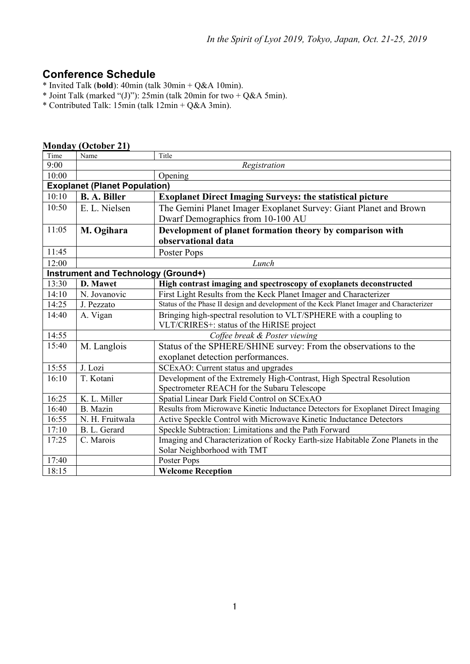# **Conference Schedule**

- \* Invited Talk (**bold**): 40min (talk 30min + Q&A 10min).
- \* Joint Talk (marked "(J)"):  $25min$  (talk  $20min$  for two + Q&A 5min).
- \* Contributed Talk: 15min (talk 12min + Q&A 3min).

#### **Monday (October 21)**

| Time  | Name                                 | Title                                                                                     |
|-------|--------------------------------------|-------------------------------------------------------------------------------------------|
| 9:00  | Registration                         |                                                                                           |
| 10:00 |                                      | Opening                                                                                   |
|       | <b>Exoplanet (Planet Population)</b> |                                                                                           |
| 10:10 | <b>B. A. Biller</b>                  | <b>Exoplanet Direct Imaging Surveys: the statistical picture</b>                          |
| 10:50 | E. L. Nielsen                        | The Gemini Planet Imager Exoplanet Survey: Giant Planet and Brown                         |
|       |                                      | Dwarf Demographics from 10-100 AU                                                         |
| 11:05 | M. Ogihara                           | Development of planet formation theory by comparison with                                 |
|       |                                      | observational data                                                                        |
| 11:45 |                                      | Poster Pops                                                                               |
| 12:00 |                                      | Lunch                                                                                     |
|       | Instrument and Technology (Ground+)  |                                                                                           |
| 13:30 | D. Mawet                             | High contrast imaging and spectroscopy of exoplanets deconstructed                        |
| 14:10 | N. Jovanovic                         | First Light Results from the Keck Planet Imager and Characterizer                         |
| 14:25 | J. Pezzato                           | Status of the Phase II design and development of the Keck Planet Imager and Characterizer |
| 14:40 | A. Vigan                             | Bringing high-spectral resolution to VLT/SPHERE with a coupling to                        |
|       |                                      | VLT/CRIRES+: status of the HiRISE project                                                 |
| 14:55 |                                      | Coffee break & Poster viewing                                                             |
| 15:40 | M. Langlois                          | Status of the SPHERE/SHINE survey: From the observations to the                           |
|       |                                      | exoplanet detection performances.                                                         |
| 15:55 | J. Lozi                              | SCExAO: Current status and upgrades                                                       |
| 16:10 | T. Kotani                            | Development of the Extremely High-Contrast, High Spectral Resolution                      |
|       |                                      | Spectrometer REACH for the Subaru Telescope                                               |
| 16:25 | K. L. Miller                         | Spatial Linear Dark Field Control on SCExAO                                               |
| 16:40 | B. Mazin                             | Results from Microwave Kinetic Inductance Detectors for Exoplanet Direct Imaging          |
| 16:55 | N. H. Fruitwala                      | Active Speckle Control with Microwave Kinetic Inductance Detectors                        |
| 17:10 | B. L. Gerard                         | Speckle Subtraction: Limitations and the Path Forward                                     |
| 17:25 | C. Marois                            | Imaging and Characterization of Rocky Earth-size Habitable Zone Planets in the            |
|       |                                      | Solar Neighborhood with TMT                                                               |
| 17:40 |                                      | Poster Pops                                                                               |
| 18:15 |                                      | <b>Welcome Reception</b>                                                                  |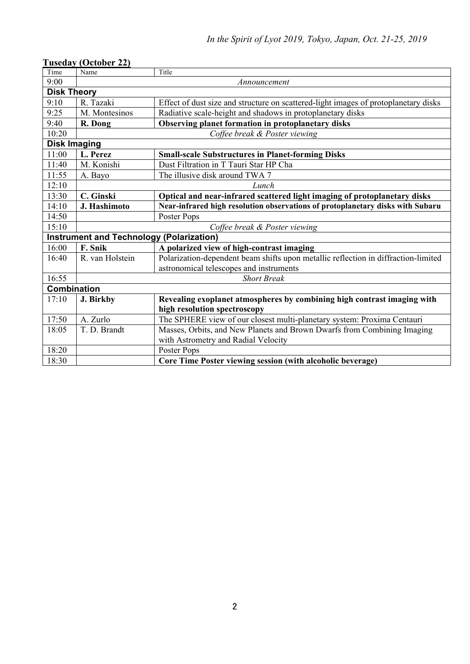|                     | LUSCUAY (OCLUDEL 44)                            |                                                                                     |  |
|---------------------|-------------------------------------------------|-------------------------------------------------------------------------------------|--|
| Time                | Name                                            | Title                                                                               |  |
| 9:00                | Announcement                                    |                                                                                     |  |
| <b>Disk Theory</b>  |                                                 |                                                                                     |  |
| 9:10                | R. Tazaki                                       | Effect of dust size and structure on scattered-light images of protoplanetary disks |  |
| 9:25                | M. Montesinos                                   | Radiative scale-height and shadows in protoplanetary disks                          |  |
| 9:40                | R. Dong                                         | Observing planet formation in protoplanetary disks                                  |  |
| 10:20               |                                                 | Coffee break & Poster viewing                                                       |  |
| <b>Disk Imaging</b> |                                                 |                                                                                     |  |
| 11:00               | L. Perez                                        | <b>Small-scale Substructures in Planet-forming Disks</b>                            |  |
| 11:40               | M. Konishi                                      | Dust Filtration in T Tauri Star HP Cha                                              |  |
| 11:55               | A. Bayo                                         | The illusive disk around TWA 7                                                      |  |
| 12:10               |                                                 | Lunch                                                                               |  |
| 13:30               | C. Ginski                                       | Optical and near-infrared scattered light imaging of protoplanetary disks           |  |
| 14:10               | J. Hashimoto                                    | Near-infrared high resolution observations of protoplanetary disks with Subaru      |  |
| 14:50               |                                                 | Poster Pops                                                                         |  |
| 15:10               | Coffee break & Poster viewing                   |                                                                                     |  |
|                     | <b>Instrument and Technology (Polarization)</b> |                                                                                     |  |
| 16:00               | F. Snik                                         | A polarized view of high-contrast imaging                                           |  |
| 16:40               | R. van Holstein                                 | Polarization-dependent beam shifts upon metallic reflection in diffraction-limited  |  |
|                     |                                                 | astronomical telescopes and instruments                                             |  |
| 16:55               |                                                 | <b>Short Break</b>                                                                  |  |
| <b>Combination</b>  |                                                 |                                                                                     |  |
| 17:10               | J. Birkby                                       | Revealing exoplanet atmospheres by combining high contrast imaging with             |  |
|                     |                                                 | high resolution spectroscopy                                                        |  |
| 17:50               | A. Zurlo                                        | The SPHERE view of our closest multi-planetary system: Proxima Centauri             |  |
| 18:05               | T. D. Brandt                                    | Masses, Orbits, and New Planets and Brown Dwarfs from Combining Imaging             |  |
|                     |                                                 | with Astrometry and Radial Velocity                                                 |  |
| 18:20               |                                                 | Poster Pops                                                                         |  |
| 18:30               |                                                 | Core Time Poster viewing session (with alcoholic beverage)                          |  |

#### **Tuseday (October 22)**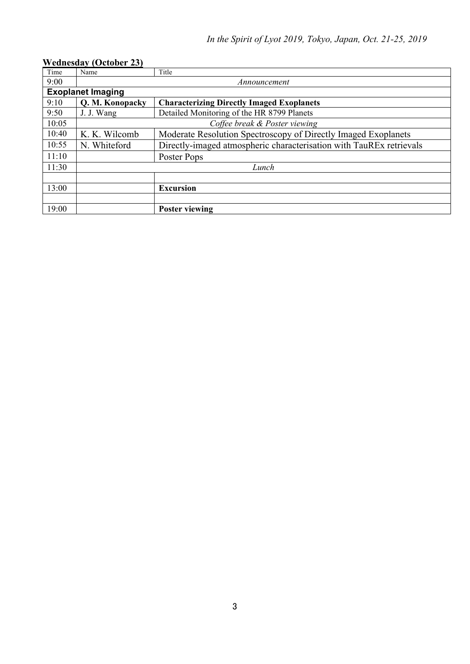|       | $\alpha$ culles avec the control $\omega$ |                                                                     |  |
|-------|-------------------------------------------|---------------------------------------------------------------------|--|
| Time  | Name                                      | Title                                                               |  |
| 9:00  |                                           | Announcement                                                        |  |
|       | <b>Exoplanet Imaging</b>                  |                                                                     |  |
| 9:10  | Q. M. Konopacky                           | <b>Characterizing Directly Imaged Exoplanets</b>                    |  |
| 9:50  | J. J. Wang                                | Detailed Monitoring of the HR 8799 Planets                          |  |
| 10:05 |                                           | Coffee break & Poster viewing                                       |  |
| 10:40 | K. K. Wilcomb                             | Moderate Resolution Spectroscopy of Directly Imaged Exoplanets      |  |
| 10:55 | N. Whiteford                              | Directly-imaged atmospheric characterisation with TauREx retrievals |  |
| 11:10 |                                           | Poster Pops                                                         |  |
| 11:30 |                                           | Lunch                                                               |  |
|       |                                           |                                                                     |  |
| 13:00 |                                           | <b>Excursion</b>                                                    |  |
|       |                                           |                                                                     |  |
| 19:00 |                                           | <b>Poster viewing</b>                                               |  |

#### **Wednesday (October 23)**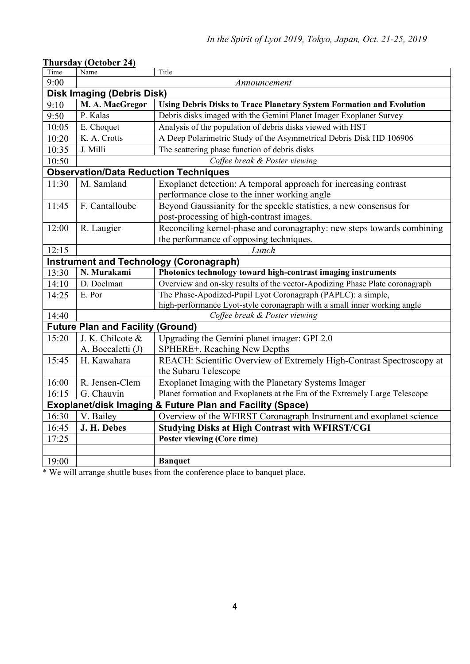| <b>Thursday (October 24)</b> |  |
|------------------------------|--|
|                              |  |

| Time                              | Name                                         | Title                                                                       |
|-----------------------------------|----------------------------------------------|-----------------------------------------------------------------------------|
| 9:00                              |                                              | Announcement                                                                |
| <b>Disk Imaging (Debris Disk)</b> |                                              |                                                                             |
| 9:10                              | M. A. MacGregor                              | <b>Using Debris Disks to Trace Planetary System Formation and Evolution</b> |
| 9:50                              | P. Kalas                                     | Debris disks imaged with the Gemini Planet Imager Exoplanet Survey          |
| 10:05                             | E. Choquet                                   | Analysis of the population of debris disks viewed with HST                  |
| 10:20                             | K. A. Crotts                                 | A Deep Polarimetric Study of the Asymmetrical Debris Disk HD 106906         |
| 10:35                             | J. Milli                                     | The scattering phase function of debris disks                               |
| 10:50                             |                                              | Coffee break & Poster viewing                                               |
|                                   | <b>Observation/Data Reduction Techniques</b> |                                                                             |
| 11:30                             | M. Samland                                   | Exoplanet detection: A temporal approach for increasing contrast            |
|                                   |                                              | performance close to the inner working angle                                |
| 11:45                             | F. Cantalloube                               | Beyond Gaussianity for the speckle statistics, a new consensus for          |
|                                   |                                              | post-processing of high-contrast images.                                    |
| 12:00                             | R. Laugier                                   | Reconciling kernel-phase and coronagraphy: new steps towards combining      |
|                                   |                                              | the performance of opposing techniques.                                     |
| 12:15                             |                                              | Lunch                                                                       |
|                                   |                                              | <b>Instrument and Technology (Coronagraph)</b>                              |
| 13:30                             | N. Murakami                                  | Photonics technology toward high-contrast imaging instruments               |
|                                   |                                              |                                                                             |
| 14:10                             | D. Doelman                                   | Overview and on-sky results of the vector-Apodizing Phase Plate coronagraph |
| 14:25                             | E. Por                                       | The Phase-Apodized-Pupil Lyot Coronagraph (PAPLC): a simple,                |
|                                   |                                              | high-performance Lyot-style coronagraph with a small inner working angle    |
| 14:40                             |                                              | Coffee break & Poster viewing                                               |
|                                   | <b>Future Plan and Facility (Ground)</b>     |                                                                             |
| 15:20                             | J. K. Chilcote &                             | Upgrading the Gemini planet imager: GPI 2.0                                 |
|                                   | A. Boccaletti (J)                            | SPHERE+, Reaching New Depths                                                |
| 15:45                             | H. Kawahara                                  | REACH: Scientific Overview of Extremely High-Contrast Spectroscopy at       |
|                                   |                                              | the Subaru Telescope                                                        |
| 16:00                             | R. Jensen-Clem                               | Exoplanet Imaging with the Planetary Systems Imager                         |
| 16:15                             | G. Chauvin                                   | Planet formation and Exoplanets at the Era of the Extremely Large Telescope |
|                                   | <b>Exoplanet/disk Imaging</b>                | & Future Plan and Facility (Space)                                          |
| 16:30                             | V. Bailey                                    | Overview of the WFIRST Coronagraph Instrument and exoplanet science         |
| 16:45                             | J. H. Debes                                  | <b>Studying Disks at High Contrast with WFIRST/CGI</b>                      |
| 17:25                             |                                              | <b>Poster viewing (Core time)</b>                                           |
| 19:00                             |                                              |                                                                             |

\* We will arrange shuttle buses from the conference place to banquet place.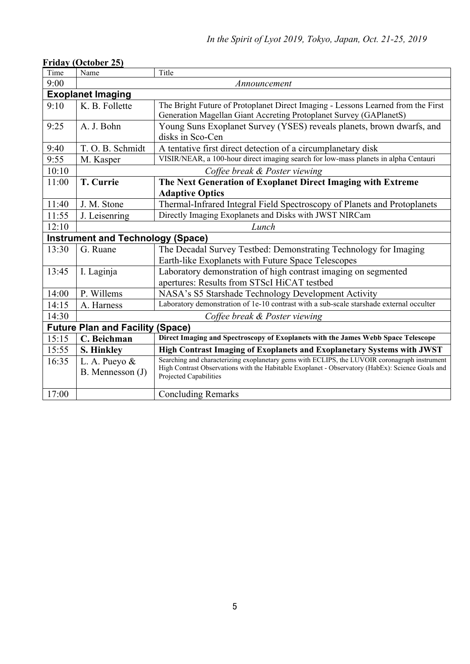# **Friday (October 25)**

| Time  | Name                                     | Title                                                                                                                      |
|-------|------------------------------------------|----------------------------------------------------------------------------------------------------------------------------|
| 9:00  |                                          | Announcement                                                                                                               |
|       | <b>Exoplanet Imaging</b>                 |                                                                                                                            |
| 9:10  | K. B. Follette                           | The Bright Future of Protoplanet Direct Imaging - Lessons Learned from the First                                           |
|       |                                          | Generation Magellan Giant Accreting Protoplanet Survey (GAPlanetS)                                                         |
| 9:25  | A. J. Bohn                               | Young Suns Exoplanet Survey (YSES) reveals planets, brown dwarfs, and                                                      |
|       |                                          | disks in Sco-Cen                                                                                                           |
| 9:40  | T.O.B. Schmidt                           | A tentative first direct detection of a circumplanetary disk                                                               |
| 9:55  | M. Kasper                                | VISIR/NEAR, a 100-hour direct imaging search for low-mass planets in alpha Centauri                                        |
| 10:10 |                                          | Coffee break & Poster viewing                                                                                              |
| 11:00 | T. Currie                                | The Next Generation of Exoplanet Direct Imaging with Extreme                                                               |
|       |                                          | <b>Adaptive Optics</b>                                                                                                     |
| 11:40 | J. M. Stone                              | Thermal-Infrared Integral Field Spectroscopy of Planets and Protoplanets                                                   |
| 11:55 | J. Leisenring                            | Directly Imaging Exoplanets and Disks with JWST NIRCam                                                                     |
| 12:10 |                                          | Lunch                                                                                                                      |
|       | <b>Instrument and Technology (Space)</b> |                                                                                                                            |
| 13:30 | G. Ruane                                 | The Decadal Survey Testbed: Demonstrating Technology for Imaging                                                           |
|       |                                          | Earth-like Exoplanets with Future Space Telescopes                                                                         |
| 13:45 | I. Laginja                               | Laboratory demonstration of high contrast imaging on segmented                                                             |
|       |                                          | apertures: Results from STScI HiCAT testbed                                                                                |
| 14:00 | P. Willems                               | NASA's S5 Starshade Technology Development Activity                                                                        |
| 14:15 | A. Harness                               | Laboratory demonstration of 1e-10 contrast with a sub-scale starshade external occulter                                    |
| 14:30 |                                          | Coffee break & Poster viewing                                                                                              |
|       | <b>Future Plan and Facility</b>          | (Space)                                                                                                                    |
| 15:15 | C. Beichman                              | Direct Imaging and Spectroscopy of Exoplanets with the James Webb Space Telescope                                          |
| 15:55 | S. Hinkley                               | High Contrast Imaging of Exoplanets and Exoplanetary Systems with JWST                                                     |
| 16:35 | L. A. Pueyo &                            | Searching and characterizing exoplanetary gems with ECLIPS, the LUVOIR coronagraph instrument                              |
|       | B. Mennesson (J)                         | High Contrast Observations with the Habitable Exoplanet - Observatory (HabEx): Science Goals and<br>Projected Capabilities |
|       |                                          |                                                                                                                            |
| 17:00 |                                          | <b>Concluding Remarks</b>                                                                                                  |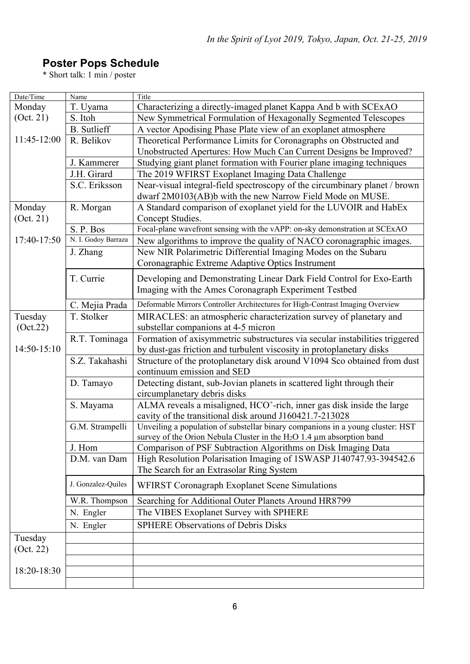# **Poster Pops Schedule**

\* Short talk: 1 min / poster

| Date/Time   | Name                | Title                                                                                                  |
|-------------|---------------------|--------------------------------------------------------------------------------------------------------|
| Monday      | T. Uyama            | Characterizing a directly-imaged planet Kappa And b with SCExAO                                        |
| (Oct. 21)   | S. Itoh             | New Symmetrical Formulation of Hexagonally Segmented Telescopes                                        |
|             | <b>B.</b> Sutlieff  | A vector Apodising Phase Plate view of an exoplanet atmosphere                                         |
| 11:45-12:00 | R. Belikov          | Theoretical Performance Limits for Coronagraphs on Obstructed and                                      |
|             |                     | Unobstructed Apertures: How Much Can Current Designs be Improved?                                      |
|             | J. Kammerer         | Studying giant planet formation with Fourier plane imaging techniques                                  |
|             | J.H. Girard         | The 2019 WFIRST Exoplanet Imaging Data Challenge                                                       |
|             | S.C. Eriksson       | Near-visual integral-field spectroscopy of the circumbinary planet / brown                             |
|             |                     | dwarf 2M0103(AB) b with the new Narrow Field Mode on MUSE.                                             |
| Monday      | R. Morgan           | A Standard comparison of exoplanet yield for the LUVOIR and HabEx                                      |
| (Oct. 21)   |                     | Concept Studies.                                                                                       |
|             | S. P. Bos           | Focal-plane wavefront sensing with the vAPP: on-sky demonstration at SCExAO                            |
| 17:40-17:50 | N. I. Godoy Barraza | New algorithms to improve the quality of NACO coronagraphic images.                                    |
|             | J. Zhang            | New NIR Polarimetric Differential Imaging Modes on the Subaru                                          |
|             |                     | Coronagraphic Extreme Adaptive Optics Instrument                                                       |
|             | T. Currie           | Developing and Demonstrating Linear Dark Field Control for Exo-Earth                                   |
|             |                     | Imaging with the Ames Coronagraph Experiment Testbed                                                   |
|             |                     |                                                                                                        |
|             | C. Mejia Prada      | Deformable Mirrors Controller Architectures for High-Contrast Imaging Overview                         |
| Tuesday     | T. Stolker          | MIRACLES: an atmospheric characterization survey of planetary and                                      |
| (Oct.22)    |                     | substellar companions at 4-5 micron                                                                    |
|             | R.T. Tominaga       | Formation of axisymmetric substructures via secular instabilities triggered                            |
| 14:50-15:10 |                     | by dust-gas friction and turbulent viscosity in protoplanetary disks                                   |
|             | S.Z. Takahashi      | Structure of the protoplanetary disk around V1094 Sco obtained from dust                               |
|             |                     | continuum emission and SED                                                                             |
|             | D. Tamayo           | Detecting distant, sub-Jovian planets in scattered light through their<br>circumplanetary debris disks |
|             |                     | ALMA reveals a misaligned, HCO <sup>+</sup> -rich, inner gas disk inside the large                     |
|             | S. Mayama           | cavity of the transitional disk around J160421.7-213028                                                |
|             | G.M. Strampelli     | Unveiling a population of substellar binary companions in a young cluster: HST                         |
|             |                     | survey of the Orion Nebula Cluster in the $H_2O$ 1.4 µm absorption band                                |
|             | J. Hom              | Comparison of PSF Subtraction Algorithms on Disk Imaging Data                                          |
|             | D.M. van Dam        | High Resolution Polarisation Imaging of 1SWASP J140747.93-394542.6                                     |
|             |                     | The Search for an Extrasolar Ring System                                                               |
|             | J. Gonzalez-Quiles  | <b>WFIRST Coronagraph Exoplanet Scene Simulations</b>                                                  |
|             | W.R. Thompson       | Searching for Additional Outer Planets Around HR8799                                                   |
|             | N. Engler           | The VIBES Exoplanet Survey with SPHERE                                                                 |
|             |                     | <b>SPHERE Observations of Debris Disks</b>                                                             |
|             | N. Engler           |                                                                                                        |
| Tuesday     |                     |                                                                                                        |
| (Oct. 22)   |                     |                                                                                                        |
| 18:20-18:30 |                     |                                                                                                        |
|             |                     |                                                                                                        |
|             |                     |                                                                                                        |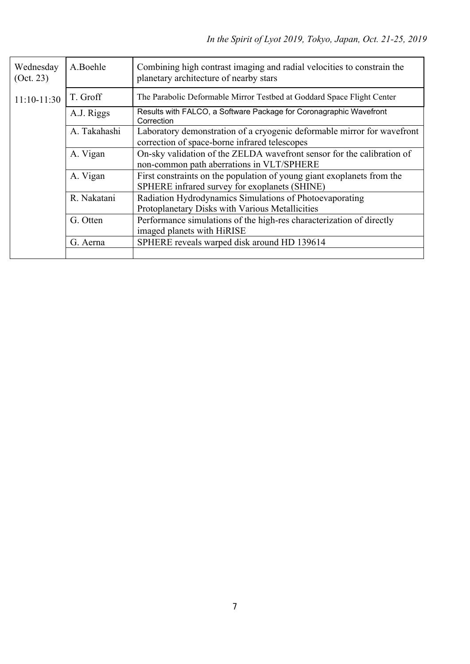| Wednesday<br>(Oct. 23) | A.Boehle     | Combining high contrast imaging and radial velocities to constrain the<br>planetary architecture of nearby stars         |
|------------------------|--------------|--------------------------------------------------------------------------------------------------------------------------|
| $11:10-11:30$          | T. Groff     | The Parabolic Deformable Mirror Testbed at Goddard Space Flight Center                                                   |
|                        | A.J. Riggs   | Results with FALCO, a Software Package for Coronagraphic Wavefront<br>Correction                                         |
|                        | A. Takahashi | Laboratory demonstration of a cryogenic deformable mirror for wavefront<br>correction of space-borne infrared telescopes |
|                        | A. Vigan     | On-sky validation of the ZELDA wavefront sensor for the calibration of<br>non-common path aberrations in VLT/SPHERE      |
|                        | A. Vigan     | First constraints on the population of young giant exoplanets from the<br>SPHERE infrared survey for exoplanets (SHINE)  |
|                        | R. Nakatani  | Radiation Hydrodynamics Simulations of Photoevaporating<br>Protoplanetary Disks with Various Metallicities               |
|                        | G. Otten     | Performance simulations of the high-res characterization of directly<br>imaged planets with HiRISE                       |
|                        | G. Aerna     | SPHERE reveals warped disk around HD 139614                                                                              |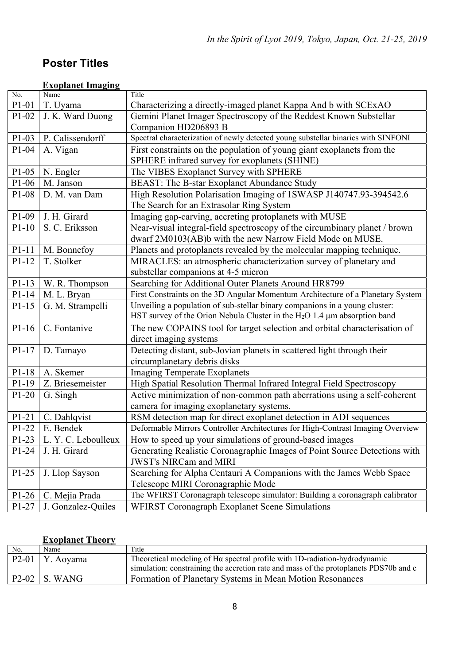# **Poster Titles**

|                    | елоріансь пінадін,            |                                                                                            |
|--------------------|-------------------------------|--------------------------------------------------------------------------------------------|
| $\rm No.$          | Name                          | Title                                                                                      |
| $P1-01$            | T. Uyama                      | Characterizing a directly-imaged planet Kappa And b with SCExAO                            |
| $P1-02$            | J. K. Ward Duong              | Gemini Planet Imager Spectroscopy of the Reddest Known Substellar                          |
|                    |                               | Companion HD206893 B                                                                       |
| $P1-03$            | P. Calissendorff              | Spectral characterization of newly detected young substellar binaries with SINFONI         |
| $P1-04$            | A. Vigan                      | First constraints on the population of young giant exoplanets from the                     |
|                    |                               | SPHERE infrared survey for exoplanets (SHINE)                                              |
| $P1-05$            | N. Engler                     | The VIBES Exoplanet Survey with SPHERE                                                     |
| P <sub>1</sub> -06 | M. Janson                     | BEAST: The B-star Exoplanet Abundance Study                                                |
| P1-08              | D. M. van Dam                 | High Resolution Polarisation Imaging of 1SWASP J140747.93-394542.6                         |
|                    |                               | The Search for an Extrasolar Ring System                                                   |
| P1-09              | J. H. Girard                  | Imaging gap-carving, accreting protoplanets with MUSE                                      |
| $P1-10$            | S. C. Eriksson                | Near-visual integral-field spectroscopy of the circumbinary planet / brown                 |
|                    |                               | dwarf 2M0103(AB)b with the new Narrow Field Mode on MUSE.                                  |
| $P1-11$            | M. Bonnefoy                   | Planets and protoplanets revealed by the molecular mapping technique.                      |
| $P1-12$            | T. Stolker                    | MIRACLES: an atmospheric characterization survey of planetary and                          |
|                    |                               | substellar companions at 4-5 micron                                                        |
| $P1-13$            | W. R. Thompson                | Searching for Additional Outer Planets Around HR8799                                       |
| $P1-14$            | M. L. Bryan                   | First Constraints on the 3D Angular Momentum Architecture of a Planetary System            |
| $P1-15$            | G. M. Strampelli              | Unveiling a population of sub-stellar binary companions in a young cluster:                |
|                    |                               | HST survey of the Orion Nebula Cluster in the H <sub>2</sub> O 1.4 $\mu$ m absorption band |
| $P1-16$            | C. Fontanive                  | The new COPAINS tool for target selection and orbital characterisation of                  |
|                    |                               | direct imaging systems                                                                     |
| $P1-17$            | D. Tamayo                     | Detecting distant, sub-Jovian planets in scattered light through their                     |
|                    |                               | circumplanetary debris disks                                                               |
| $P1-18$            | A. Skemer                     | Imaging Temperate Exoplanets                                                               |
| $P1-19$            | Z. Briesemeister              | High Spatial Resolution Thermal Infrared Integral Field Spectroscopy                       |
| $P1-20$            | G. Singh                      | Active minimization of non-common path aberrations using a self-coherent                   |
|                    |                               | camera for imaging exoplanetary systems.                                                   |
| $P1-21$            | C. Dahlqvist                  | RSM detection map for direct exoplanet detection in ADI sequences                          |
| $P1-22$            | E. Bendek                     | Deformable Mirrors Controller Architectures for High-Contrast Imaging Overview             |
|                    | $P1-23$   L. Y. C. Leboulleux | How to speed up your simulations of ground-based images                                    |
| $P1-24$            | J. H. Girard                  | Generating Realistic Coronagraphic Images of Point Source Detections with                  |
|                    |                               | <b>JWST's NIRCam and MIRI</b>                                                              |
| $P1-25$            | J. Llop Sayson                | Searching for Alpha Centauri A Companions with the James Webb Space                        |
|                    |                               | Telescope MIRI Coronagraphic Mode                                                          |
| $P1-26$            | C. Mejia Prada                | The WFIRST Coronagraph telescope simulator: Building a coronagraph calibrator              |
| $P1-27$            | J. Gonzalez-Quiles            | WFIRST Coronagraph Exoplanet Scene Simulations                                             |

## **Exoplanet Imaging**

### **Exoplanet Theory**

| No. | Name              | Title                                                                                                                                                                 |
|-----|-------------------|-----------------------------------------------------------------------------------------------------------------------------------------------------------------------|
|     | P2-01   Y. Aoyama | Theoretical modeling of $Ha$ spectral profile with 1D-radiation-hydrodynamic<br>simulation: constraining the accretion rate and mass of the protoplanets PDS70b and c |
|     | $P2-02$ S. WANG   | Formation of Planetary Systems in Mean Motion Resonances                                                                                                              |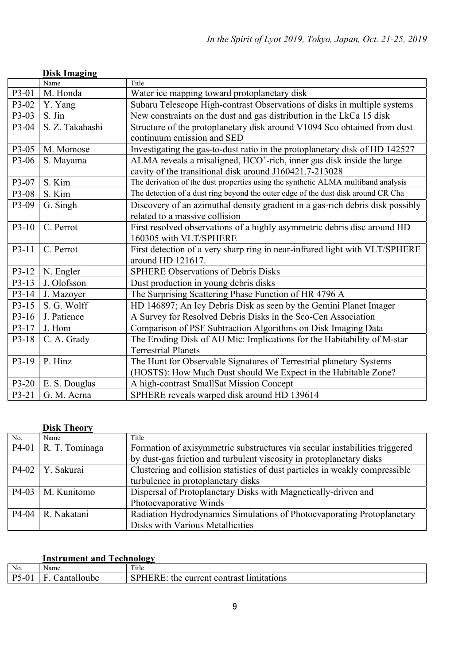|         | <b>Disk Imaging</b> |                                                                                    |
|---------|---------------------|------------------------------------------------------------------------------------|
|         | Name                | Title                                                                              |
| P3-01   | M. Honda            | Water ice mapping toward protoplanetary disk                                       |
| P3-02   | Y. Yang             | Subaru Telescope High-contrast Observations of disks in multiple systems           |
| P3-03   | S. Jin              | New constraints on the dust and gas distribution in the LkCa 15 disk               |
| $P3-04$ | S. Z. Takahashi     | Structure of the protoplanetary disk around V1094 Sco obtained from dust           |
|         |                     | continuum emission and SED                                                         |
| P3-05   | M. Momose           | Investigating the gas-to-dust ratio in the protoplanetary disk of HD 142527        |
| P3-06   | S. Mayama           | ALMA reveals a misaligned, HCO <sup>+</sup> -rich, inner gas disk inside the large |
|         |                     | cavity of the transitional disk around J160421.7-213028                            |
| P3-07   | S. Kim              | The derivation of the dust properties using the synthetic ALMA multiband analysis  |
| P3-08   | S. Kim              | The detection of a dust ring beyond the outer edge of the dust disk around CR Cha  |
| P3-09   | G. Singh            | Discovery of an azimuthal density gradient in a gas-rich debris disk possibly      |
|         |                     | related to a massive collision                                                     |
| $P3-10$ | C. Perrot           | First resolved observations of a highly asymmetric debris disc around HD           |
|         |                     | 160305 with VLT/SPHERE                                                             |
| P3-11   | C. Perrot           | First detection of a very sharp ring in near-infrared light with VLT/SPHERE        |
|         |                     | around HD 121617.                                                                  |
| $P3-12$ | N. Engler           | SPHERE Observations of Debris Disks                                                |
| $P3-13$ | J. Olofsson         | Dust production in young debris disks                                              |
| $P3-14$ | J. Mazoyer          | The Surprising Scattering Phase Function of HR 4796 A                              |
| $P3-15$ | S. G. Wolff         | HD 146897; An Icy Debris Disk as seen by the Gemini Planet Imager                  |
| $P3-16$ | J. Patience         | A Survey for Resolved Debris Disks in the Sco-Cen Association                      |
| $P3-17$ | J. Hom              | Comparison of PSF Subtraction Algorithms on Disk Imaging Data                      |
| P3-18   | C. A. Grady         | The Eroding Disk of AU Mic: Implications for the Habitability of M-star            |
|         |                     | <b>Terrestrial Planets</b>                                                         |
| P3-19   | P. Hinz             | The Hunt for Observable Signatures of Terrestrial planetary Systems                |
|         |                     | (HOSTS): How Much Dust should We Expect in the Habitable Zone?                     |
| $P3-20$ | E. S. Douglas       | A high-contrast SmallSat Mission Concept                                           |
| P3-21   | G. M. Aerna         | SPHERE reveals warped disk around HD 139614                                        |

### **Disk Theory**

| No.     | Name                 | Title                                                                        |
|---------|----------------------|------------------------------------------------------------------------------|
| $P4-01$ | R. T. Tominaga       | Formation of axisymmetric substructures via secular instabilities triggered  |
|         |                      | by dust-gas friction and turbulent viscosity in protoplanetary disks         |
|         | $P4-02$   Y. Sakurai | Clustering and collision statistics of dust particles in weakly compressible |
|         |                      | turbulence in protoplanetary disks                                           |
|         | P4-03   M. Kunitomo  | Dispersal of Protoplanetary Disks with Magnetically-driven and               |
|         |                      | Photoevaporative Winds                                                       |
|         | P4-04   R. Nakatani  | Radiation Hydrodynamics Simulations of Photoevaporating Protoplanetary       |
|         |                      | Disks with Various Metallicities                                             |

# **Instrument and Technology**

| No.                    | Name       | Title                                                    |
|------------------------|------------|----------------------------------------------------------|
| D5.<br>.0 <sup>1</sup> | antalloube | <b>SPHERE</b><br>the current<br>-limitations<br>contrast |
|                        |            |                                                          |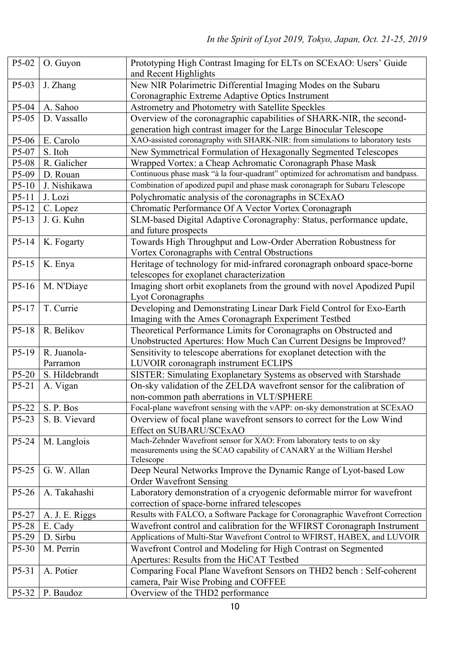| P5-02   | O. Guyon          | Prototyping High Contrast Imaging for ELTs on SCExAO: Users' Guide<br>and Recent Highlights |
|---------|-------------------|---------------------------------------------------------------------------------------------|
| P5-03   | J. Zhang          | New NIR Polarimetric Differential Imaging Modes on the Subaru                               |
|         |                   | Coronagraphic Extreme Adaptive Optics Instrument                                            |
| $P5-04$ | A. Sahoo          | Astrometry and Photometry with Satellite Speckles                                           |
| P5-05   | D. Vassallo       | Overview of the coronagraphic capabilities of SHARK-NIR, the second-                        |
|         |                   | generation high contrast imager for the Large Binocular Telescope                           |
| P5-06   | E. Carolo         | XAO-assisted coronagraphy with SHARK-NIR: from simulations to laboratory tests              |
| P5-07   | S. Itoh           | New Symmetrical Formulation of Hexagonally Segmented Telescopes                             |
| P5-08   | R. Galicher       | Wrapped Vortex: a Cheap Achromatic Coronagraph Phase Mask                                   |
| P5-09   | D. Rouan          | Continuous phase mask "à la four-quadrant" optimized for achromatism and bandpass.          |
| $P5-10$ | J. Nishikawa      | Combination of apodized pupil and phase mask coronagraph for Subaru Telescope               |
| $P5-11$ | J. Lozi           | Polychromatic analysis of the coronagraphs in SCExAO                                        |
| $P5-12$ | C. Lopez          | Chromatic Performance Of A Vector Vortex Coronagraph                                        |
| $P5-13$ | J. G. Kuhn        | SLM-based Digital Adaptive Coronagraphy: Status, performance update,                        |
|         |                   | and future prospects                                                                        |
| $P5-14$ | K. Fogarty        | Towards High Throughput and Low-Order Aberration Robustness for                             |
|         |                   | Vortex Coronagraphs with Central Obstructions                                               |
| P5-15   | K. Enya           | Heritage of technology for mid-infrared coronagraph onboard space-borne                     |
|         |                   | telescopes for exoplanet characterization                                                   |
| P5-16   | M. N'Diaye        | Imaging short orbit exoplanets from the ground with novel Apodized Pupil                    |
|         |                   | Lyot Coronagraphs                                                                           |
| P5-17   | T. Currie         | Developing and Demonstrating Linear Dark Field Control for Exo-Earth                        |
|         |                   | Imaging with the Ames Coronagraph Experiment Testbed                                        |
| P5-18   | R. Belikov        | Theoretical Performance Limits for Coronagraphs on Obstructed and                           |
|         |                   | Unobstructed Apertures: How Much Can Current Designs be Improved?                           |
| P5-19   | R. Juanola-       | Sensitivity to telescope aberrations for exoplanet detection with the                       |
|         | Parramon          | LUVOIR coronagraph instrument ECLIPS                                                        |
| $P5-20$ | S. Hildebrandt    | SISTER: Simulating Exoplanetary Systems as observed with Starshade                          |
| P5-21   | A. Vigan          | On-sky validation of the ZELDA wavefront sensor for the calibration of                      |
|         |                   | non-common path aberrations in VLT/SPHERE                                                   |
|         | $P5-22$ S. P. Bos | Focal-plane wavefront sensing with the vAPP: on-sky demonstration at SCExAO                 |
| $P5-23$ | S. B. Vievard     | Overview of focal plane wavefront sensors to correct for the Low Wind                       |
|         |                   | Effect on SUBARU/SCExAO                                                                     |
| P5-24   | M. Langlois       | Mach-Zehnder Wavefront sensor for XAO: From laboratory tests to on sky                      |
|         |                   | measurements using the SCAO capability of CANARY at the William Hershel<br>Telescope        |
| P5-25   | G. W. Allan       | Deep Neural Networks Improve the Dynamic Range of Lyot-based Low                            |
|         |                   | <b>Order Wavefront Sensing</b>                                                              |
| $P5-26$ | A. Takahashi      | Laboratory demonstration of a cryogenic deformable mirror for wavefront                     |
|         |                   | correction of space-borne infrared telescopes                                               |
| P5-27   | A. J. E. Riggs    | Results with FALCO, a Software Package for Coronagraphic Wavefront Correction               |
| $P5-28$ | E. Cady           | Wavefront control and calibration for the WFIRST Coronagraph Instrument                     |
| $P5-29$ | D. Sirbu          | Applications of Multi-Star Wavefront Control to WFIRST, HABEX, and LUVOIR                   |
| $P5-30$ | M. Perrin         | Wavefront Control and Modeling for High Contrast on Segmented                               |
|         |                   | Apertures: Results from the HiCAT Testbed                                                   |
| P5-31   | A. Potier         | Comparing Focal Plane Wavefront Sensors on THD2 bench : Self-coherent                       |
|         |                   | camera, Pair Wise Probing and COFFEE                                                        |
| P5-32   | P. Baudoz         | Overview of the THD2 performance                                                            |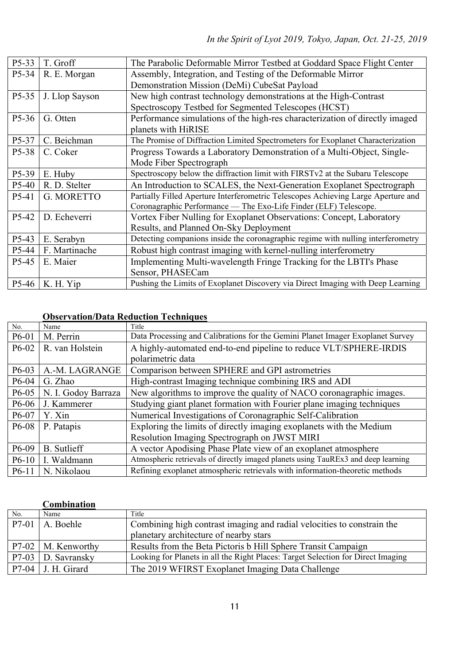| $P5-33$            | T. Groff       | The Parabolic Deformable Mirror Testbed at Goddard Space Flight Center            |
|--------------------|----------------|-----------------------------------------------------------------------------------|
| P5-34              | R. E. Morgan   | Assembly, Integration, and Testing of the Deformable Mirror                       |
|                    |                | Demonstration Mission (DeMi) CubeSat Payload                                      |
| $P5-35$            | J. Llop Sayson | New high contrast technology demonstrations at the High-Contrast                  |
|                    |                | Spectroscopy Testbed for Segmented Telescopes (HCST)                              |
| P5-36              | G. Otten       | Performance simulations of the high-res characterization of directly imaged       |
|                    |                | planets with HiRISE                                                               |
| P5-37              | C. Beichman    | The Promise of Diffraction Limited Spectrometers for Exoplanet Characterization   |
| P5-38              | C. Coker       | Progress Towards a Laboratory Demonstration of a Multi-Object, Single-            |
|                    |                | Mode Fiber Spectrograph                                                           |
| P5-39              | E. Huby        | Spectroscopy below the diffraction limit with FIRSTv2 at the Subaru Telescope     |
| P <sub>5</sub> -40 | R. D. Stelter  | An Introduction to SCALES, the Next-Generation Exoplanet Spectrograph             |
| P <sub>5</sub> -41 | G. MORETTO     | Partially Filled Aperture Interferometric Telescopes Achieving Large Aperture and |
|                    |                | Coronagraphic Performance — The Exo-Life Finder (ELF) Telescope.                  |
| P <sub>5</sub> -42 | D. Echeverri   | Vortex Fiber Nulling for Exoplanet Observations: Concept, Laboratory              |
|                    |                | Results, and Planned On-Sky Deployment                                            |
| $P5-43$            | E. Serabyn     | Detecting companions inside the coronagraphic regime with nulling interferometry  |
| P5-44              | F. Martinache  | Robust high contrast imaging with kernel-nulling interferometry                   |
| P5-45              | E. Maier       | Implementing Multi-wavelength Fringe Tracking for the LBTI's Phase                |
|                    |                | Sensor, PHASECam                                                                  |
| P5-46              | K. H. Yip      | Pushing the Limits of Exoplanet Discovery via Direct Imaging with Deep Learning   |

# **Observation/Data Reduction Techniques**

| No.     | Name                | Title                                                                             |
|---------|---------------------|-----------------------------------------------------------------------------------|
| P6-01   | M. Perrin           | Data Processing and Calibrations for the Gemini Planet Imager Exoplanet Survey    |
| P6-02   | R. van Holstein     | A highly-automated end-to-end pipeline to reduce VLT/SPHERE-IRDIS                 |
|         |                     | polarimetric data                                                                 |
| P6-03   | A.-M. LAGRANGE      | Comparison between SPHERE and GPI astrometries                                    |
| P6-04   | G. Zhao             | High-contrast Imaging technique combining IRS and ADI                             |
| P6-05   | N. I. Godoy Barraza | New algorithms to improve the quality of NACO coronagraphic images.               |
| P6-06   | J. Kammerer         | Studying giant planet formation with Fourier plane imaging techniques             |
| P6-07   | Y. Xin              | Numerical Investigations of Coronagraphic Self-Calibration                        |
| P6-08   | P. Patapis          | Exploring the limits of directly imaging exoplanets with the Medium               |
|         |                     | Resolution Imaging Spectrograph on JWST MIRI                                      |
| P6-09   | <b>B.</b> Sutlieff  | A vector Apodising Phase Plate view of an exoplanet atmosphere                    |
| $P6-10$ | I. Waldmann         | Atmospheric retrievals of directly imaged planets using TauREx3 and deep learning |
| $P6-11$ | N. Nikolaou         | Refining exoplanet atmospheric retrievals with information-theoretic methods      |

#### **Combination**

| No.     | Name                   | Title                                                                            |
|---------|------------------------|----------------------------------------------------------------------------------|
| $P7-01$ | A. Boehle              | Combining high contrast imaging and radial velocities to constrain the           |
|         |                        | planetary architecture of nearby stars                                           |
|         | $P7-02$   M. Kenworthy | Results from the Beta Pictoris b Hill Sphere Transit Campaign                    |
|         | $P7-03$ D. Savransky   | Looking for Planets in all the Right Places: Target Selection for Direct Imaging |
|         | $P7-04$ J. H. Girard   | The 2019 WFIRST Exoplanet Imaging Data Challenge                                 |